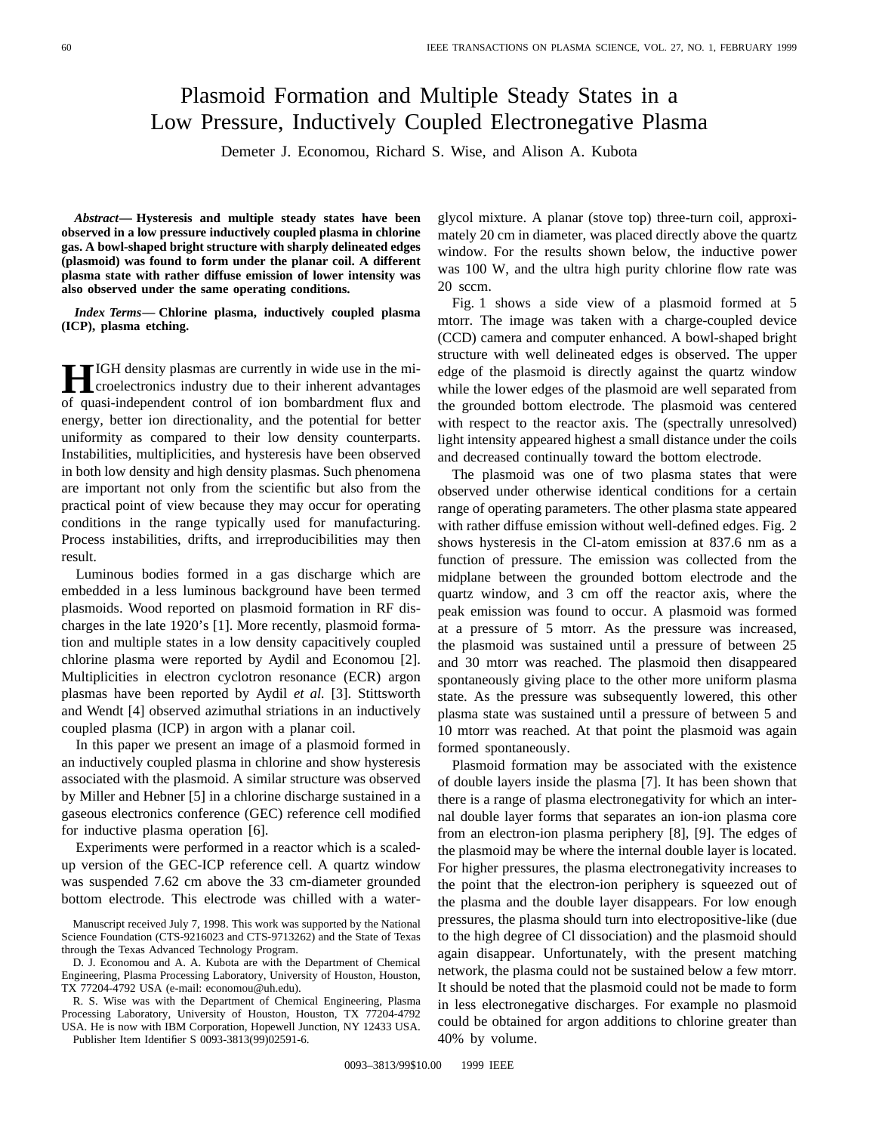## Plasmoid Formation and Multiple Steady States in a Low Pressure, Inductively Coupled Electronegative Plasma

Demeter J. Economou, Richard S. Wise, and Alison A. Kubota

*Abstract—* **Hysteresis and multiple steady states have been observed in a low pressure inductively coupled plasma in chlorine gas. A bowl-shaped bright structure with sharply delineated edges (plasmoid) was found to form under the planar coil. A different plasma state with rather diffuse emission of lower intensity was also observed under the same operating conditions.**

*Index Terms—* **Chlorine plasma, inductively coupled plasma (ICP), plasma etching.**

**HIGH** density plasmas are currently in wide use in the microelectronics industry due to their inherent advantages of quasi-independent control of ion bombardment flux and energy, better ion directionality, and the potential for better uniformity as compared to their low density counterparts. Instabilities, multiplicities, and hysteresis have been observed in both low density and high density plasmas. Such phenomena are important not only from the scientific but also from the practical point of view because they may occur for operating conditions in the range typically used for manufacturing. Process instabilities, drifts, and irreproducibilities may then result.

Luminous bodies formed in a gas discharge which are embedded in a less luminous background have been termed plasmoids. Wood reported on plasmoid formation in RF discharges in the late 1920's [1]. More recently, plasmoid formation and multiple states in a low density capacitively coupled chlorine plasma were reported by Aydil and Economou [2]. Multiplicities in electron cyclotron resonance (ECR) argon plasmas have been reported by Aydil *et al.* [3]. Stittsworth and Wendt [4] observed azimuthal striations in an inductively coupled plasma (ICP) in argon with a planar coil.

In this paper we present an image of a plasmoid formed in an inductively coupled plasma in chlorine and show hysteresis associated with the plasmoid. A similar structure was observed by Miller and Hebner [5] in a chlorine discharge sustained in a gaseous electronics conference (GEC) reference cell modified for inductive plasma operation [6].

Experiments were performed in a reactor which is a scaledup version of the GEC-ICP reference cell. A quartz window was suspended 7.62 cm above the 33 cm-diameter grounded bottom electrode. This electrode was chilled with a water-

R. S. Wise was with the Department of Chemical Engineering, Plasma Processing Laboratory, University of Houston, Houston, TX 77204-4792 USA. He is now with IBM Corporation, Hopewell Junction, NY 12433 USA. Publisher Item Identifier S 0093-3813(99)02591-6.

glycol mixture. A planar (stove top) three-turn coil, approximately 20 cm in diameter, was placed directly above the quartz window. For the results shown below, the inductive power was 100 W, and the ultra high purity chlorine flow rate was 20 sccm.

Fig. 1 shows a side view of a plasmoid formed at 5 mtorr. The image was taken with a charge-coupled device (CCD) camera and computer enhanced. A bowl-shaped bright structure with well delineated edges is observed. The upper edge of the plasmoid is directly against the quartz window while the lower edges of the plasmoid are well separated from the grounded bottom electrode. The plasmoid was centered with respect to the reactor axis. The (spectrally unresolved) light intensity appeared highest a small distance under the coils and decreased continually toward the bottom electrode.

The plasmoid was one of two plasma states that were observed under otherwise identical conditions for a certain range of operating parameters. The other plasma state appeared with rather diffuse emission without well-defined edges. Fig. 2 shows hysteresis in the Cl-atom emission at 837.6 nm as a function of pressure. The emission was collected from the midplane between the grounded bottom electrode and the quartz window, and 3 cm off the reactor axis, where the peak emission was found to occur. A plasmoid was formed at a pressure of 5 mtorr. As the pressure was increased, the plasmoid was sustained until a pressure of between 25 and 30 mtorr was reached. The plasmoid then disappeared spontaneously giving place to the other more uniform plasma state. As the pressure was subsequently lowered, this other plasma state was sustained until a pressure of between 5 and 10 mtorr was reached. At that point the plasmoid was again formed spontaneously.

Plasmoid formation may be associated with the existence of double layers inside the plasma [7]. It has been shown that there is a range of plasma electronegativity for which an internal double layer forms that separates an ion-ion plasma core from an electron-ion plasma periphery [8], [9]. The edges of the plasmoid may be where the internal double layer is located. For higher pressures, the plasma electronegativity increases to the point that the electron-ion periphery is squeezed out of the plasma and the double layer disappears. For low enough pressures, the plasma should turn into electropositive-like (due to the high degree of Cl dissociation) and the plasmoid should again disappear. Unfortunately, with the present matching network, the plasma could not be sustained below a few mtorr. It should be noted that the plasmoid could not be made to form in less electronegative discharges. For example no plasmoid could be obtained for argon additions to chlorine greater than 40% by volume.

Manuscript received July 7, 1998. This work was supported by the National Science Foundation (CTS-9216023 and CTS-9713262) and the State of Texas through the Texas Advanced Technology Program.

D. J. Economou and A. A. Kubota are with the Department of Chemical Engineering, Plasma Processing Laboratory, University of Houston, Houston, TX 77204-4792 USA (e-mail: economou@uh.edu).